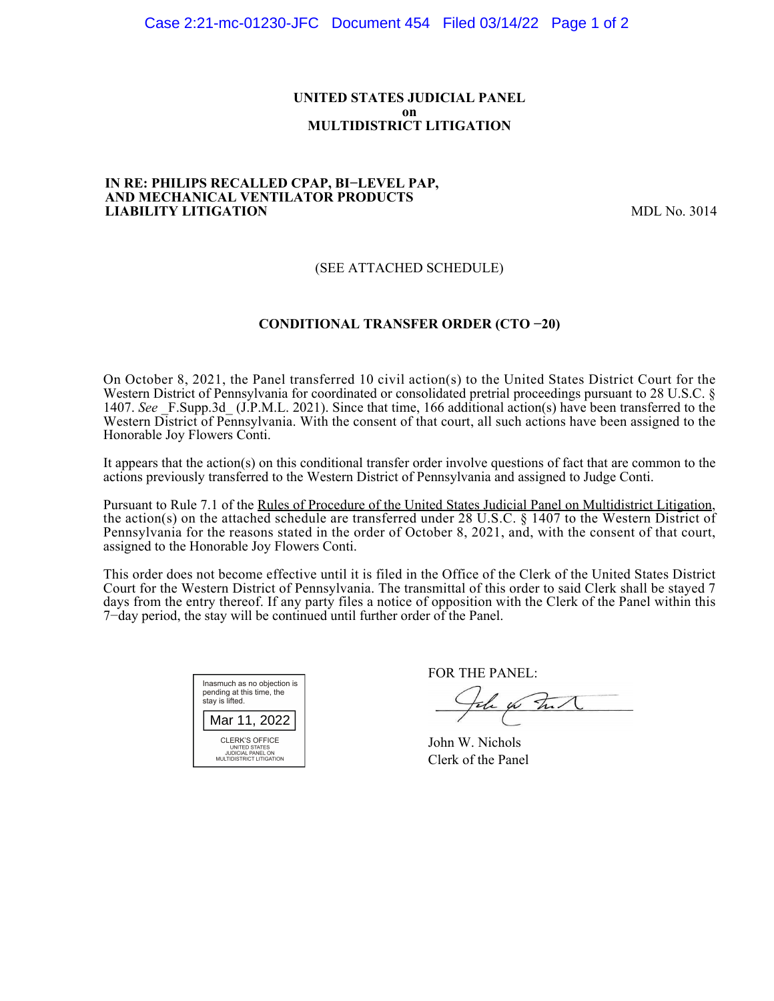## **UNITED STATES JUDICIAL PANEL on MULTIDISTRICT LITIGATION**

#### **IN RE: PHILIPS RECALLED CPAP, BI−LEVEL PAP, AND MECHANICAL VENTILATOR PRODUCTS LIABILITY LITIGATION** MDL No. 3014

# (SEE ATTACHED SCHEDULE)

## **CONDITIONAL TRANSFER ORDER (CTO −20)**

On October 8, 2021, the Panel transferred 10 civil action(s) to the United States District Court for the Western District of Pennsylvania for coordinated or consolidated pretrial proceedings pursuant to 28 U.S.C. § 1407. See F.Supp.3d (J.P.M.L. 2021). Since that time, 166 additional action(s) have been transferred to the Western District of Pennsylvania. With the consent of that court, all such actions have been assigned to the Honorable Joy Flowers Conti.

It appears that the action(s) on this conditional transfer order involve questions of fact that are common to the actions previously transferred to the Western District of Pennsylvania and assigned to Judge Conti.

Pursuant to Rule 7.1 of the Rules of Procedure of the United States Judicial Panel on Multidistrict Litigation, the action(s) on the attached schedule are transferred under 28 U.S.C. § 1407 to the Western District of Pennsylvania for the reasons stated in the order of October 8, 2021, and, with the consent of that court, assigned to the Honorable Joy Flowers Conti.

This order does not become effective until it is filed in the Office of the Clerk of the United States District Court for the Western District of Pennsylvania. The transmittal of this order to said Clerk shall be stayed 7 days from the entry thereof. If any party files a notice of opposition with the Clerk of the Panel within this 7−day period, the stay will be continued until further order of the Panel.



FOR THE PANEL:

the for that

John W. Nichols Clerk of the Panel